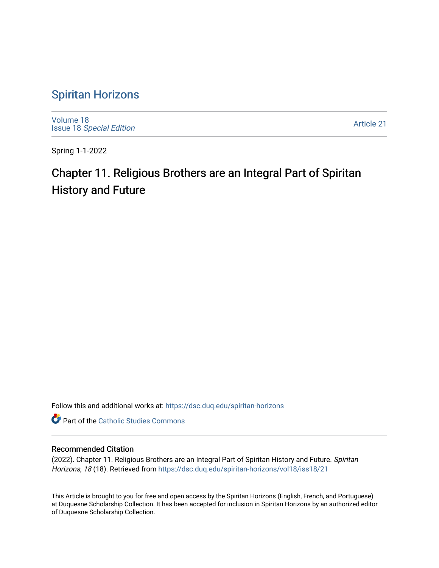## [Spiritan Horizons](https://dsc.duq.edu/spiritan-horizons)

[Volume 18](https://dsc.duq.edu/spiritan-horizons/vol18) Issue 18 [Special Edition](https://dsc.duq.edu/spiritan-horizons/vol18/iss18) 

[Article 21](https://dsc.duq.edu/spiritan-horizons/vol18/iss18/21) 

Spring 1-1-2022

# Chapter 11. Religious Brothers are an Integral Part of Spiritan History and Future

Follow this and additional works at: [https://dsc.duq.edu/spiritan-horizons](https://dsc.duq.edu/spiritan-horizons?utm_source=dsc.duq.edu%2Fspiritan-horizons%2Fvol18%2Fiss18%2F21&utm_medium=PDF&utm_campaign=PDFCoverPages)

**Part of the [Catholic Studies Commons](http://network.bepress.com/hgg/discipline/1294?utm_source=dsc.duq.edu%2Fspiritan-horizons%2Fvol18%2Fiss18%2F21&utm_medium=PDF&utm_campaign=PDFCoverPages)** 

### Recommended Citation

(2022). Chapter 11. Religious Brothers are an Integral Part of Spiritan History and Future. Spiritan Horizons, 18 (18). Retrieved from [https://dsc.duq.edu/spiritan-horizons/vol18/iss18/21](https://dsc.duq.edu/spiritan-horizons/vol18/iss18/21?utm_source=dsc.duq.edu%2Fspiritan-horizons%2Fvol18%2Fiss18%2F21&utm_medium=PDF&utm_campaign=PDFCoverPages) 

This Article is brought to you for free and open access by the Spiritan Horizons (English, French, and Portuguese) at Duquesne Scholarship Collection. It has been accepted for inclusion in Spiritan Horizons by an authorized editor of Duquesne Scholarship Collection.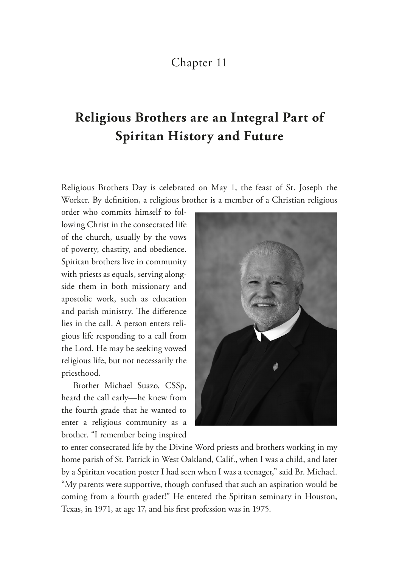### Chapter 11

## **Religious Brothers are an Integral Part of Spiritan History and Future**

Religious Brothers Day is celebrated on May 1, the feast of St. Joseph the Worker. By defnition, a religious brother is a member of a Christian religious

order who commits himself to following Christ in the consecrated life of the church, usually by the vows of poverty, chastity, and obedience. Spiritan brothers live in community with priests as equals, serving alongside them in both missionary and apostolic work, such as education and parish ministry. The difference lies in the call. A person enters religious life responding to a call from the Lord. He may be seeking vowed religious life, but not necessarily the priesthood.

Brother Michael Suazo, CSSp, heard the call early—he knew from the fourth grade that he wanted to enter a religious community as a brother. "I remember being inspired



to enter consecrated life by the Divine Word priests and brothers working in my home parish of St. Patrick in West Oakland, Calif., when I was a child, and later by a Spiritan vocation poster I had seen when I was a teenager," said Br. Michael. "My parents were supportive, though confused that such an aspiration would be coming from a fourth grader!" He entered the Spiritan seminary in Houston, Texas, in 1971, at age 17, and his frst profession was in 1975.